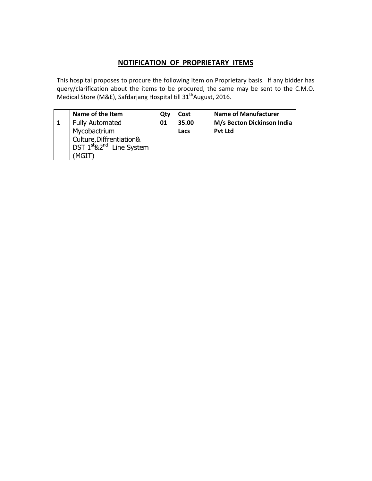## **NOTIFICATION OF PROPRIETARY ITEMS**

This hospital proposes to procure the following item on Proprietary basis. If any bidder has query/clarification about the items to be procured, the same may be sent to the C.M.O. Medical Store (M&E), Safdarjang Hospital till 31<sup>th</sup>August, 2016.

| Name of the Item                                                                              | Qtv | Cost  | <b>Name of Manufacturer</b> |
|-----------------------------------------------------------------------------------------------|-----|-------|-----------------------------|
| <b>Fully Automated</b>                                                                        | 01  | 35.00 | M/s Becton Dickinson India  |
| Mycobactrium<br>Culture, Diffrentiation&<br>DST $1^{st}$ &2 <sup>nd</sup> Line System<br>MGIT |     | Lacs  | <b>Pvt Ltd</b>              |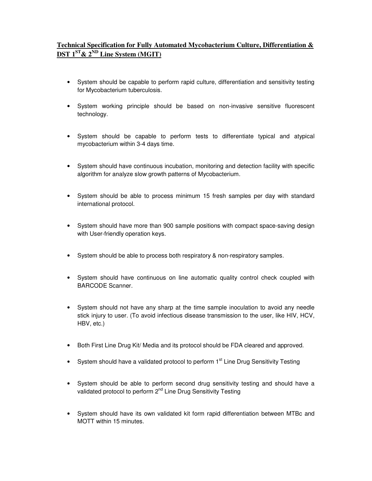## **Technical Specification for Fully Automated Mycobacterium Culture, Differentiation &**   $\overline{\text{DST}}$  1<sup>ST</sup> & 2<sup>ND</sup> Line System (MGIT)

- System should be capable to perform rapid culture, differentiation and sensitivity testing for Mycobacterium tuberculosis.
- System working principle should be based on non-invasive sensitive fluorescent technology.
- System should be capable to perform tests to differentiate typical and atypical mycobacterium within 3-4 days time.
- System should have continuous incubation, monitoring and detection facility with specific algorithm for analyze slow growth patterns of Mycobacterium.
- System should be able to process minimum 15 fresh samples per day with standard international protocol.
- System should have more than 900 sample positions with compact space-saving design with User-friendly operation keys.
- System should be able to process both respiratory & non-respiratory samples.
- System should have continuous on line automatic quality control check coupled with BARCODE Scanner.
- System should not have any sharp at the time sample inoculation to avoid any needle stick injury to user. (To avoid infectious disease transmission to the user, like HIV, HCV, HBV, etc.)
- Both First Line Drug Kit/ Media and its protocol should be FDA cleared and approved.
- System should have a validated protocol to perform  $1<sup>st</sup>$  Line Drug Sensitivity Testing
- System should be able to perform second drug sensitivity testing and should have a validated protocol to perform 2<sup>nd</sup> Line Drug Sensitivity Testing
- System should have its own validated kit form rapid differentiation between MTBc and MOTT within 15 minutes.